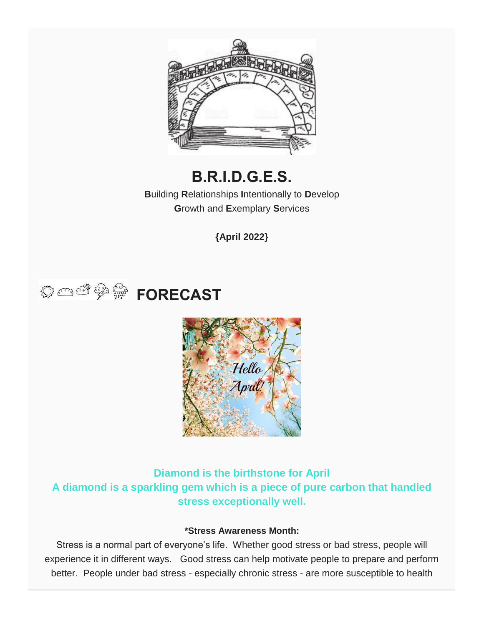

# **B.R.I.D.G.E.S.**

**B**uilding **R**elationships **I**ntentionally to **D**evelop **G**rowth and **E**xemplary **S**ervices

**{April 2022}**





**Diamond is the birthstone for April A diamond is a sparkling gem which is a piece of pure carbon that handled stress exceptionally well.**

#### **\*Stress Awareness Month:**

Stress is a normal part of everyone's life. Whether good stress or bad stress, people will experience it in different ways. Good stress can help motivate people to prepare and perform better. People under bad stress - especially chronic stress - are more susceptible to health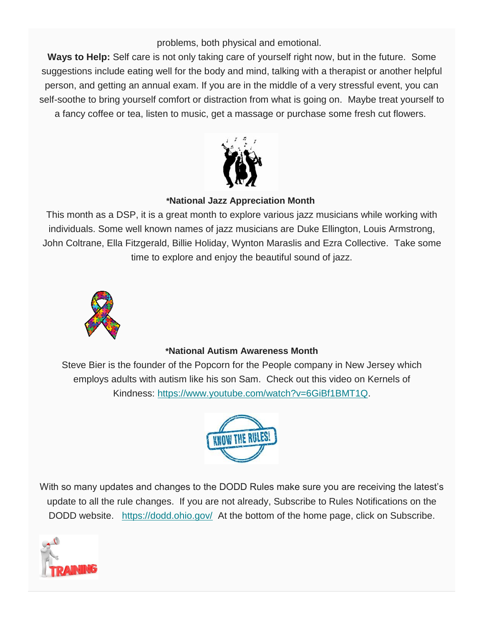problems, both physical and emotional.

**Ways to Help:** Self care is not only taking care of yourself right now, but in the future. Some suggestions include eating well for the body and mind, talking with a therapist or another helpful person, and getting an annual exam. If you are in the middle of a very stressful event, you can self-soothe to bring yourself comfort or distraction from what is going on. Maybe treat yourself to a fancy coffee or tea, listen to music, get a massage or purchase some fresh cut flowers.



#### **\*National Jazz Appreciation Month**

This month as a DSP, it is a great month to explore various jazz musicians while working with individuals. Some well known names of jazz musicians are Duke Ellington, Louis Armstrong, John Coltrane, Ella Fitzgerald, Billie Holiday, Wynton Maraslis and Ezra Collective. Take some time to explore and enjoy the beautiful sound of jazz.



#### **\*National Autism Awareness Month**

Steve Bier is the founder of the Popcorn for the People company in New Jersey which employs adults with autism like his son Sam. Check out this video on Kernels of Kindness: [https://www.youtube.com/watch?v=6GiBf1BMT1Q.](https://www.youtube.com/watch?v=6GiBf1BMT1Q)



With so many updates and changes to the DODD Rules make sure you are receiving the latest's update to all the rule changes. If you are not already, Subscribe to Rules Notifications on the DODD website. <https://dodd.ohio.gov/> At the bottom of the home page, click on Subscribe.

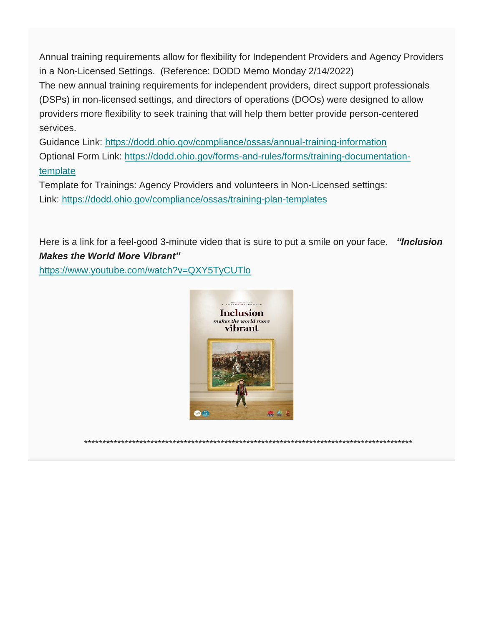Annual training requirements allow for flexibility for Independent Providers and Agency Providers in a Non-Licensed Settings. (Reference: DODD Memo Monday 2/14/2022)

The new annual training requirements for independent providers, direct support professionals (DSPs) in non-licensed settings, and directors of operations (DOOs) were designed to allow providers more flexibility to seek training that will help them better provide person-centered services.

Guidance Link: <https://dodd.ohio.gov/compliance/ossas/annual-training-information> Optional Form Link: [https://dodd.ohio.gov/forms-and-rules/forms/training-documentation](https://dodd.ohio.gov/forms-and-rules/forms/training-documentation-template)[template](https://dodd.ohio.gov/forms-and-rules/forms/training-documentation-template)

Template for Trainings: Agency Providers and volunteers in Non-Licensed settings: Link: <https://dodd.ohio.gov/compliance/ossas/training-plan-templates>

Here is a link for a feel-good 3-minute video that is sure to put a smile on your face. *"Inclusion Makes the World More Vibrant"*

<https://www.youtube.com/watch?v=QXY5TyCUTlo>



\*\*\*\*\*\*\*\*\*\*\*\*\*\*\*\*\*\*\*\*\*\*\*\*\*\*\*\*\*\*\*\*\*\*\*\*\*\*\*\*\*\*\*\*\*\*\*\*\*\*\*\*\*\*\*\*\*\*\*\*\*\*\*\*\*\*\*\*\*\*\*\*\*\*\*\*\*\*\*\*\*\*\*\*\*\*\*\*\*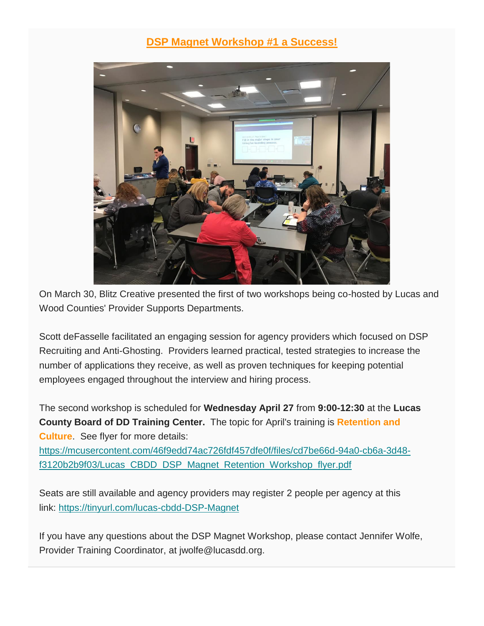### **DSP Magnet Workshop #1 a Success!**



On March 30, Blitz Creative presented the first of two workshops being co-hosted by Lucas and Wood Counties' Provider Supports Departments.

Scott deFasselle facilitated an engaging session for agency providers which focused on DSP Recruiting and Anti-Ghosting. Providers learned practical, tested strategies to increase the number of applications they receive, as well as proven techniques for keeping potential employees engaged throughout the interview and hiring process.

The second workshop is scheduled for **Wednesday April 27** from **9:00-12:30** at the **Lucas County Board of DD Training Center.** The topic for April's training is **Retention and Culture**. See flyer for more details:

[https://mcusercontent.com/46f9edd74ac726fdf457dfe0f/files/cd7be66d-94a0-cb6a-3d48](https://mcusercontent.com/46f9edd74ac726fdf457dfe0f/files/cd7be66d-94a0-cb6a-3d48-f3120b2b9f03/Lucas_CBDD_DSP_Magnet_Retention_Workshop_flyer.pdf) [f3120b2b9f03/Lucas\\_CBDD\\_DSP\\_Magnet\\_Retention\\_Workshop\\_flyer.pdf](https://mcusercontent.com/46f9edd74ac726fdf457dfe0f/files/cd7be66d-94a0-cb6a-3d48-f3120b2b9f03/Lucas_CBDD_DSP_Magnet_Retention_Workshop_flyer.pdf)

Seats are still available and agency providers may register 2 people per agency at this link: <https://tinyurl.com/lucas-cbdd-DSP-Magnet>

If you have any questions about the DSP Magnet Workshop, please contact Jennifer Wolfe, Provider Training Coordinator, at jwolfe@lucasdd.org.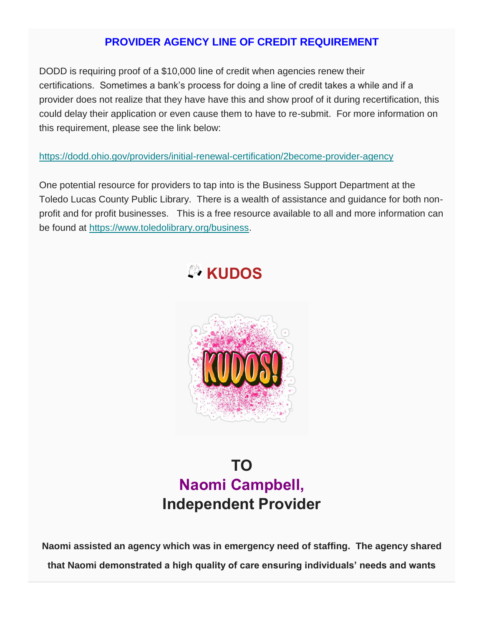## **PROVIDER AGENCY LINE OF CREDIT REQUIREMENT**

DODD is requiring proof of a \$10,000 line of credit when agencies renew their certifications. Sometimes a bank's process for doing a line of credit takes a while and if a provider does not realize that they have have this and show proof of it during recertification, this could delay their application or even cause them to have to re-submit. For more information on this requirement, please see the link below:

#### <https://dodd.ohio.gov/providers/initial-renewal-certification/2become-provider-agency>

One potential resource for providers to tap into is the Business Support Department at the Toledo Lucas County Public Library. There is a wealth of assistance and guidance for both nonprofit and for profit businesses. This is a free resource available to all and more information can be found at [https://www.toledolibrary.org/business.](https://www.toledolibrary.org/business)





# **TO Naomi Campbell, Independent Provider**

**Naomi assisted an agency which was in emergency need of staffing. The agency shared that Naomi demonstrated a high quality of care ensuring individuals' needs and wants**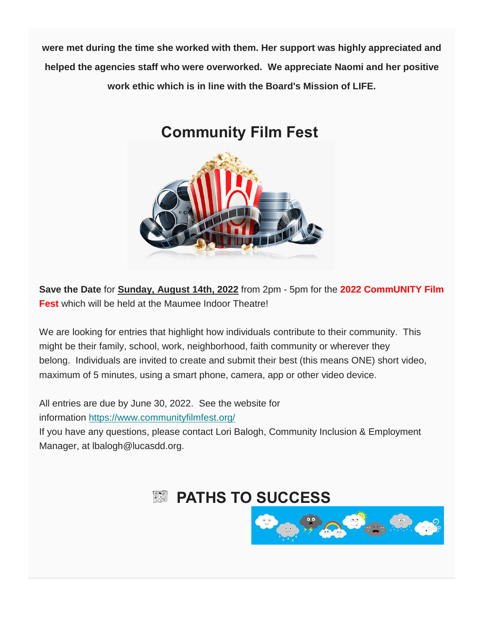**were met during the time she worked with them. Her support was highly appreciated and helped the agencies staff who were overworked. We appreciate Naomi and her positive work ethic which is in line with the Board's Mission of LIFE.**

# **Community Film Fest**



**Save the Date** for **Sunday, August 14th, 2022** from 2pm - 5pm for the **2022 CommUNITY Film Fest** which will be held at the Maumee Indoor Theatre!

We are looking for entries that highlight how individuals contribute to their community. This might be their family, school, work, neighborhood, faith community or wherever they belong. Individuals are invited to create and submit their best (this means ONE) short video, maximum of 5 minutes, using a smart phone, camera, app or other video device.

All entries are due by June 30, 2022. See the website for information <https://www.communityfilmfest.org/>

If you have any questions, please contact Lori Balogh, Community Inclusion & Employment Manager, at lbalogh@lucasdd.org.

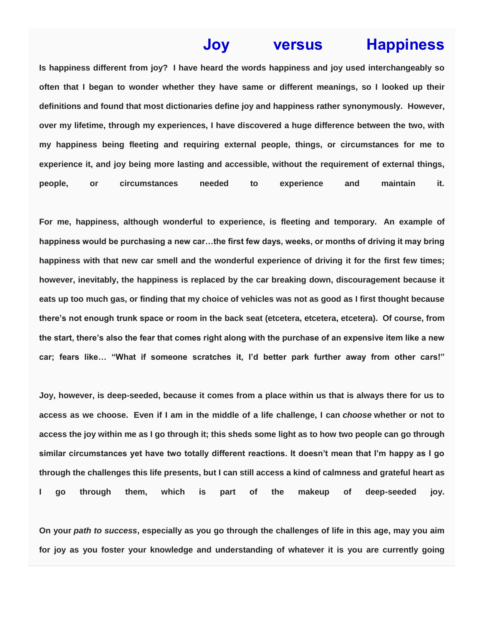## **Joy versus Happiness**

**Is happiness different from joy? I have heard the words happiness and joy used interchangeably so often that I began to wonder whether they have same or different meanings, so I looked up their definitions and found that most dictionaries define joy and happiness rather synonymously. However, over my lifetime, through my experiences, I have discovered a huge difference between the two, with my happiness being fleeting and requiring external people, things, or circumstances for me to experience it, and joy being more lasting and accessible, without the requirement of external things, people, or circumstances needed to experience and maintain it.**

**For me, happiness, although wonderful to experience, is fleeting and temporary. An example of happiness would be purchasing a new car…the first few days, weeks, or months of driving it may bring happiness with that new car smell and the wonderful experience of driving it for the first few times; however, inevitably, the happiness is replaced by the car breaking down, discouragement because it eats up too much gas, or finding that my choice of vehicles was not as good as I first thought because there's not enough trunk space or room in the back seat (etcetera, etcetera, etcetera). Of course, from the start, there's also the fear that comes right along with the purchase of an expensive item like a new car; fears like… "What if someone scratches it, I'd better park further away from other cars!"**

**Joy, however, is deep-seeded, because it comes from a place within us that is always there for us to access as we choose. Even if I am in the middle of a life challenge, I can** *choose* **whether or not to access the joy within me as I go through it; this sheds some light as to how two people can go through similar circumstances yet have two totally different reactions. It doesn't mean that I'm happy as I go through the challenges this life presents, but I can still access a kind of calmness and grateful heart as I go through them, which is part of the makeup of deep-seeded joy.**

**On your** *path to success***, especially as you go through the challenges of life in this age, may you aim for joy as you foster your knowledge and understanding of whatever it is you are currently going**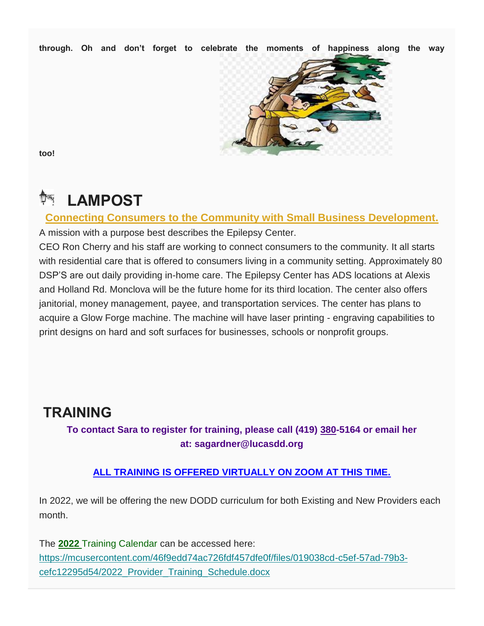**through. Oh and don't forget to celebrate the moments of happiness along the way** 



**too!** 

# **LAMPOST**

**Connecting Consumers to the Community with Small Business Development.**

A mission with a purpose best describes the Epilepsy Center.

CEO Ron Cherry and his staff are working to connect consumers to the community. It all starts with residential care that is offered to consumers living in a community setting. Approximately 80 DSP'S are out daily providing in-home care. The Epilepsy Center has ADS locations at Alexis and Holland Rd. Monclova will be the future home for its third location. The center also offers janitorial, money management, payee, and transportation services. The center has plans to acquire a Glow Forge machine. The machine will have laser printing - engraving capabilities to print designs on hard and soft surfaces for businesses, schools or nonprofit groups.

# **TRAINING**

**To contact Sara to register for training, please call (419) 380-5164 or email her at: sagardner@lucasdd.org**

#### **ALL TRAINING IS OFFERED VIRTUALLY ON ZOOM AT THIS TIME.**

In 2022, we will be offering the new DODD curriculum for both Existing and New Providers each month.

The **2022** Training Calendar can be accessed here: [https://mcusercontent.com/46f9edd74ac726fdf457dfe0f/files/019038cd-c5ef-57ad-79b3](https://mcusercontent.com/46f9edd74ac726fdf457dfe0f/files/019038cd-c5ef-57ad-79b3-cefc12295d54/2022_Provider_Training_Schedule.docx) [cefc12295d54/2022\\_Provider\\_Training\\_Schedule.docx](https://mcusercontent.com/46f9edd74ac726fdf457dfe0f/files/019038cd-c5ef-57ad-79b3-cefc12295d54/2022_Provider_Training_Schedule.docx)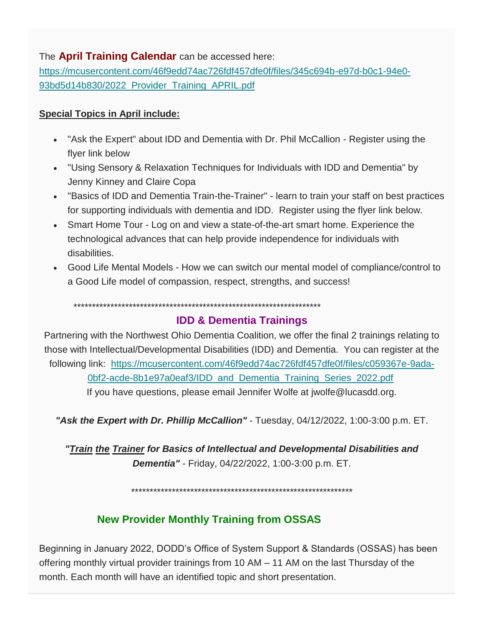#### The **April Training Calendar** can be accessed here:

[https://mcusercontent.com/46f9edd74ac726fdf457dfe0f/files/345c694b-e97d-b0c1-94e0-](https://mcusercontent.com/46f9edd74ac726fdf457dfe0f/files/345c694b-e97d-b0c1-94e0-93bd5d14b830/2022_Provider_Training_APRIL.pdf) [93bd5d14b830/2022\\_Provider\\_Training\\_APRIL.pdf](https://mcusercontent.com/46f9edd74ac726fdf457dfe0f/files/345c694b-e97d-b0c1-94e0-93bd5d14b830/2022_Provider_Training_APRIL.pdf)

#### **Special Topics in April include:**

- "Ask the Expert" about IDD and Dementia with Dr. Phil McCallion Register using the flyer link below
- "Using Sensory & Relaxation Techniques for Individuals with IDD and Dementia" by Jenny Kinney and Claire Copa
- "Basics of IDD and Dementia Train-the-Trainer" learn to train your staff on best practices for supporting individuals with dementia and IDD. Register using the flyer link below.
- Smart Home Tour Log on and view a state-of-the-art smart home. Experience the technological advances that can help provide independence for individuals with disabilities.
- Good Life Mental Models How we can switch our mental model of compliance/control to a Good Life model of compassion, respect, strengths, and success!

\*\*\*\*\*\*\*\*\*\*\*\*\*\*\*\*\*\*\*\*\*\*\*\*\*\*\*\*\*\*\*\*\*\*\*\*\*\*\*\*\*\*\*\*\*\*\*\*\*\*\*\*\*\*\*\*\*\*\*\*\*\*\*\*\*\*\*

#### **IDD & Dementia Trainings**

Partnering with the Northwest Ohio Dementia Coalition, we offer the final 2 trainings relating to those with Intellectual/Developmental Disabilities (IDD) and Dementia. You can register at the following link: [https://mcusercontent.com/46f9edd74ac726fdf457dfe0f/files/c059367e-9ada-](https://mcusercontent.com/46f9edd74ac726fdf457dfe0f/files/c059367e-9ada-0bf2-acde-8b1e97a0eaf3/IDD_and_Dementia_Training_Series_2022.pdf)[0bf2-acde-8b1e97a0eaf3/IDD\\_and\\_Dementia\\_Training\\_Series\\_2022.pdf](https://mcusercontent.com/46f9edd74ac726fdf457dfe0f/files/c059367e-9ada-0bf2-acde-8b1e97a0eaf3/IDD_and_Dementia_Training_Series_2022.pdf) If you have questions, please email Jennifer Wolfe at jwolfe@lucasdd.org.

*"Ask the Expert with Dr. Phillip McCallion"* - Tuesday, 04/12/2022, 1:00-3:00 p.m. ET.

*"Train the Trainer for Basics of Intellectual and Developmental Disabilities and Dementia"* - Friday, 04/22/2022, 1:00-3:00 p.m. ET.

\*\*\*\*\*\*\*\*\*\*\*\*\*\*\*\*\*\*\*\*\*\*\*\*\*\*\*\*\*\*\*\*\*\*\*\*\*\*\*\*\*\*\*\*\*\*\*\*\*\*\*\*\*\*\*\*\*\*\*\*

## **New Provider Monthly Training from OSSAS**

Beginning in January 2022, DODD's Office of System Support & Standards (OSSAS) has been offering monthly virtual provider trainings from 10 AM – 11 AM on the last Thursday of the month. Each month will have an identified topic and short presentation.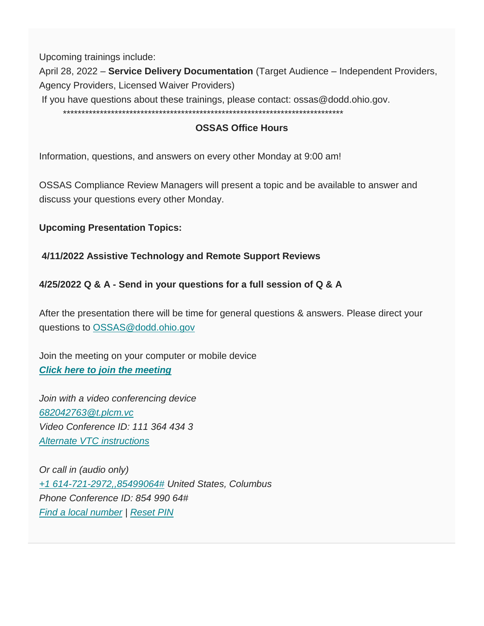Upcoming trainings include:

April 28, 2022 – **Service Delivery Documentation** (Target Audience – Independent Providers, Agency Providers, Licensed Waiver Providers)

If you have questions about these trainings, please contact: ossas@dodd.ohio.gov.

\*\*\*\*\*\*\*\*\*\*\*\*\*\*\*\*\*\*\*\*\*\*\*\*\*\*\*\*\*\*\*\*\*\*\*\*\*\*\*\*\*\*\*\*\*\*\*\*\*\*\*\*\*\*\*\*\*\*\*\*\*\*\*\*\*\*\*\*\*\*\*\*\*\*\*\*

#### **OSSAS Office Hours**

Information, questions, and answers on every other Monday at 9:00 am!

OSSAS Compliance Review Managers will present a topic and be available to answer and discuss your questions every other Monday.

#### **Upcoming Presentation Topics:**

#### **4/11/2022 Assistive Technology and Remote Support Reviews**

#### **4/25/2022 Q & A - Send in your questions for a full session of Q & A**

After the presentation there will be time for general questions & answers. Please direct your questions to [OSSAS@dodd.ohio.gov](mailto:ossas@dodd.ohio.gov)

Join the meeting on your computer or mobile device *[Click here to join the meeting](https://r20.rs6.net/tn.jsp?f=001fRve8bC-GH7fcXEIetlBqvur04ahEaecstvlZNWDG72WBv-4XHSx4d8hQKArwjs9VIv6MqdlnauCoDCq64jd91qxkv1KNCTLj7X6vOXJs_mSKiYKUXqI1Vh8CEir1YNY_cYRLEEGattiay5VRXX1ijln6qqDVyw7jFK7IzhHYTz4OVdMhfLf7QW7DODrTeo2sw1WksYsuz8hA2fmBTeL71R9X4iqqtLOH14vT1p_E8pKBG1xdKLOFdtrjAYdIRDfw4LnXlKGpuQXAW7dumVAr798gUdWZjw9QAMjO2iH3XArRxSKos3sgd61bydNOdyTMOUEDnn6jFYUFsKBdR1qzX0GPZGHXxP-dHObnot5uIsrGMeSewuSXeNtHzyDzurEvjTdFDdbOdCheTB7-ShYfuT0P6-z7zQLJaWbBQxbQXMCE6sz9OekSPaGAwGKx7Qnr6i73V8od86v0X6IZKypUSz1t_BtfAU0RVVxv8xNRrc=&c=SzfhM08v8sYNztbYO34QuDTOPuVfaxgRzTQfTNrH6VMBS8ZMg5Tnmw==&ch=0Nf3XKIYLXTIcMmvlrE6h5fpxwJ5bHIg6F_syfE2JZcllY0427NuUA==)*

*Join with a video conferencing device [682042763@t.plcm.vc](mailto:682042763@t.plcm.vc) Video Conference ID: 111 364 434 3 [Alternate VTC](https://r20.rs6.net/tn.jsp?f=001fRve8bC-GH7fcXEIetlBqvur04ahEaecstvlZNWDG72WBv-4XHSx4d8hQKArwjs9yCsgFD9KMIgMlIp6_LmU7xXKx_ZC_Jrc5_iP0_3Oc0AlJcBkmVt_ie7ZyR0na-NVQ0Z3goNa7xT9UlwaOwy_VDLy-uhx1yBm2BucgH265qE7iJWFgTBTK-TdT6pnz5mP2gn71v2RXcM=&c=SzfhM08v8sYNztbYO34QuDTOPuVfaxgRzTQfTNrH6VMBS8ZMg5Tnmw==&ch=0Nf3XKIYLXTIcMmvlrE6h5fpxwJ5bHIg6F_syfE2JZcllY0427NuUA==) instructions*

*Or call in (audio only) [+1 614-721-2972,,85499064#](https://us18.admin.mailchimp.com/campaigns/preview-content-html?id=11356574) United States, Columbus Phone Conference ID: 854 990 64# [Find a local number](https://r20.rs6.net/tn.jsp?f=001fRve8bC-GH7fcXEIetlBqvur04ahEaecstvlZNWDG72WBv-4XHSx4d8hQKArwjs9vSn-OM8kAyXruXacACee_A3WyiRl5j0hKO8eGoY1qL6rbP2jl8cwafaX_RBM_yxH_c1PIa1ETlTFxzPlwsZj_71cJ0pIl0aCb3SnaKIWBpg-sgtVh_3xump7ZbW6Uit-2pLt-gZHUFSpyXzwt0HgeZ-fVVZDD8ZiacexILzTGT4=&c=SzfhM08v8sYNztbYO34QuDTOPuVfaxgRzTQfTNrH6VMBS8ZMg5Tnmw==&ch=0Nf3XKIYLXTIcMmvlrE6h5fpxwJ5bHIg6F_syfE2JZcllY0427NuUA==) | [Reset PIN](https://r20.rs6.net/tn.jsp?f=001fRve8bC-GH7fcXEIetlBqvur04ahEaecstvlZNWDG72WBv-4XHSx4Z2YqpFdlzCw6JXQs4uID0tlkrgzNz6nZHy47pQf5j6IHk2GnnCpk-K1MDqIdblVWtiwvRRkxWW_z6hWobTf-HhkC4PAQLTLUv5_R4GKyRccvsFRBTECJfY=&c=SzfhM08v8sYNztbYO34QuDTOPuVfaxgRzTQfTNrH6VMBS8ZMg5Tnmw==&ch=0Nf3XKIYLXTIcMmvlrE6h5fpxwJ5bHIg6F_syfE2JZcllY0427NuUA==)*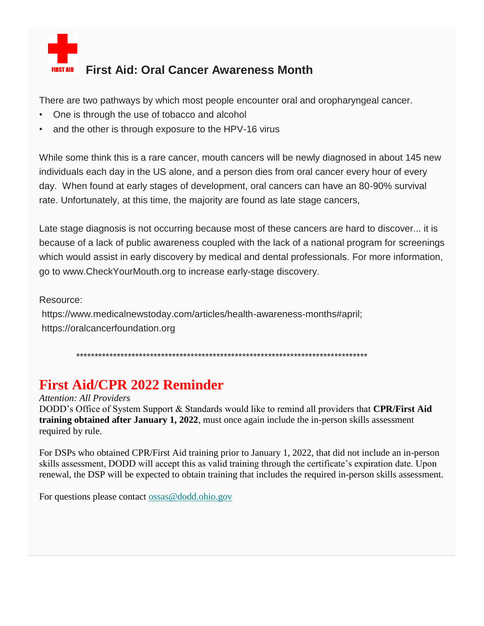

## **First Aid: Oral Cancer Awareness Month**

There are two pathways by which most people encounter oral and oropharyngeal cancer.

- One is through the use of tobacco and alcohol
- and the other is through exposure to the HPV-16 virus

While some think this is a rare cancer, mouth cancers will be newly diagnosed in about 145 new individuals each day in the US alone, and a person dies from oral cancer every hour of every day. When found at early stages of development, oral cancers can have an 80-90% survival rate. Unfortunately, at this time, the majority are found as late stage cancers,

Late stage diagnosis is not occurring because most of these cancers are hard to discover... it is because of a lack of public awareness coupled with the lack of a national program for screenings which would assist in early discovery by medical and dental professionals. For more information, go to www.CheckYourMouth.org to increase early-stage discovery.

Resource:

https://www.medicalnewstoday.com/articles/health-awareness-months#april; https://oralcancerfoundation.org

\*\*\*\*\*\*\*\*\*\*\*\*\*\*\*\*\*\*\*\*\*\*\*\*\*\*\*\*\*\*\*\*\*\*\*\*\*\*\*\*\*\*\*\*\*\*\*\*\*\*\*\*\*\*\*\*\*\*\*\*\*\*\*\*\*\*\*\*\*\*\*\*\*\*\*\*\*\*\*

## **First Aid/CPR 2022 Reminder**

*Attention: All Providers*

DODD's Office of System Support & Standards would like to remind all providers that **CPR/First Aid training obtained after January 1, 2022**, must once again include the in-person skills assessment required by rule.

For DSPs who obtained CPR/First Aid training prior to January 1, 2022, that did not include an in-person skills assessment, DODD will accept this as valid training through the certificate's expiration date. Upon renewal, the DSP will be expected to obtain training that includes the required in-person skills assessment.

For questions please contact [ossas@dodd.ohio.gov](mailto:ossas@dodd.ohio.gov)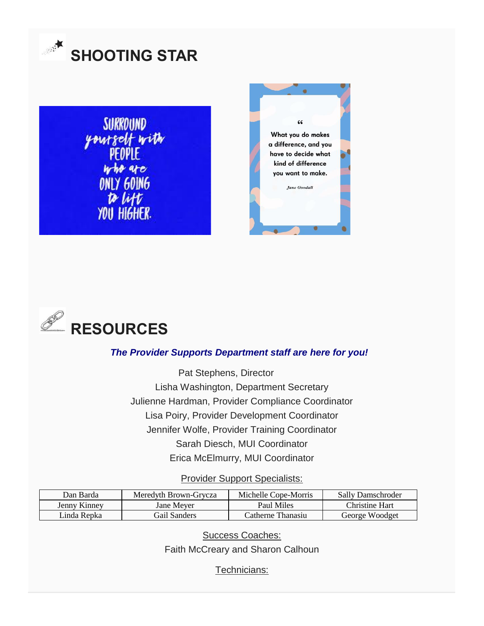

**SURROUND** yourself with<br>PEOPLE<br>who are ONLY GOING to lift YOU HIGHER.





#### *The Provider Supports Department staff are here for you!*

Pat Stephens, Director Lisha Washington, Department Secretary Julienne Hardman, Provider Compliance Coordinator Lisa Poiry, Provider Development Coordinator Jennifer Wolfe, Provider Training Coordinator Sarah Diesch, MUI Coordinator Erica McElmurry, MUI Coordinator

Provider Support Specialists:

| Dan Barda    | Meredyth Brown-Grycza | Michelle Cope-Morris | Sally Damschroder |
|--------------|-----------------------|----------------------|-------------------|
| Jenny Kinney | Jane Mever            | Paul Miles           | Christine Hart    |
| Linda Repka  | Gail Sanders          | Catherne Thanasiu    | George Woodget    |

Success Coaches:

Faith McCreary and Sharon Calhoun

Technicians: